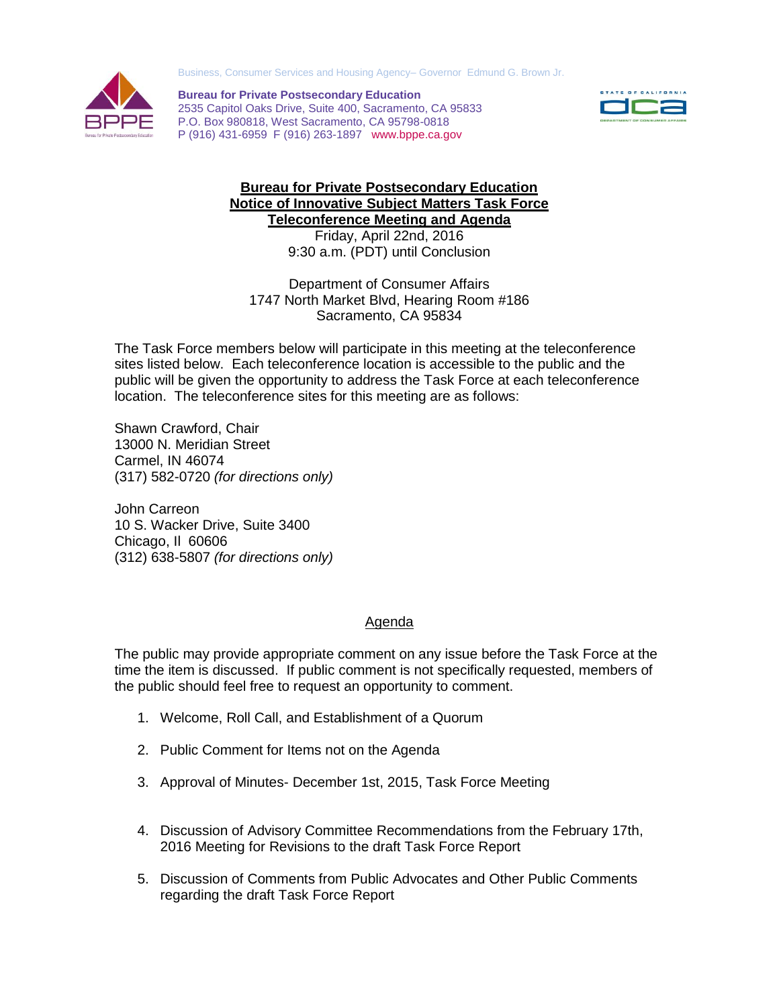Business, Consumer Services and Housing Agency– Governor Edmund G. Brown Jr.



**Bureau for Private Postsecondary Education** 2535 Capitol Oaks Drive, Suite 400, Sacramento, CA 95833 P.O. Box 980818, West Sacramento, CA 95798-0818 P (916) 431-6959 F (916) 263-1897 www.bppe.ca.gov



## **Bureau for Private Postsecondary Education Notice of Innovative Subject Matters Task Force Teleconference Meeting and Agenda**

Friday, April 22nd, 2016 9:30 a.m. (PDT) until Conclusion

Department of Consumer Affairs 1747 North Market Blvd, Hearing Room #186 Sacramento, CA 95834

The Task Force members below will participate in this meeting at the teleconference sites listed below. Each teleconference location is accessible to the public and the public will be given the opportunity to address the Task Force at each teleconference location. The teleconference sites for this meeting are as follows:

Shawn Crawford, Chair 13000 N. Meridian Street Carmel, IN 46074 (317) 582-0720 *(for directions only)*

John Carreon 10 S. Wacker Drive, Suite 3400 Chicago, Il 60606 (312) 638-5807 *(for directions only)*

## **Agenda**

The public may provide appropriate comment on any issue before the Task Force at the time the item is discussed. If public comment is not specifically requested, members of the public should feel free to request an opportunity to comment.

- 1. Welcome, Roll Call, and Establishment of a Quorum
- 2. Public Comment for Items not on the Agenda
- 3. Approval of Minutes- December 1st, 2015, Task Force Meeting
- 4. Discussion of Advisory Committee Recommendations from the February 17th, 2016 Meeting for Revisions to the draft Task Force Report
- 5. Discussion of Comments from Public Advocates and Other Public Comments regarding the draft Task Force Report